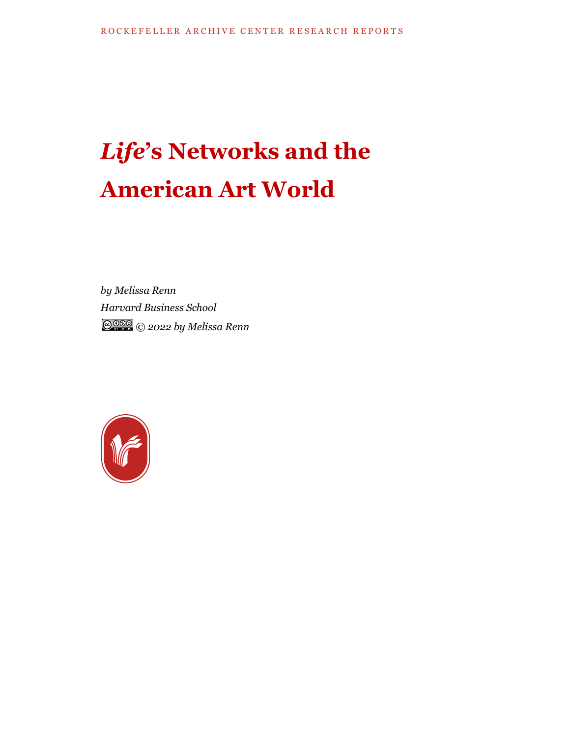## *Life***'s Networks and the American Art World**

*by Melissa Renn Harvard Business School © 2022 by Melissa Renn*

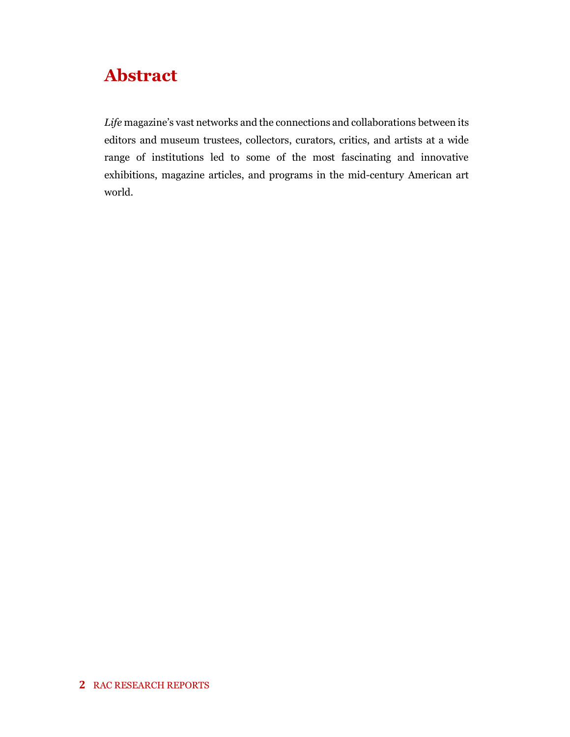## **Abstract**

*Life* magazine's vast networks and the connections and collaborations between its editors and museum trustees, collectors, curators, critics, and artists at a wide range of institutions led to some of the most fascinating and innovative exhibitions, magazine articles, and programs in the mid-century American art world.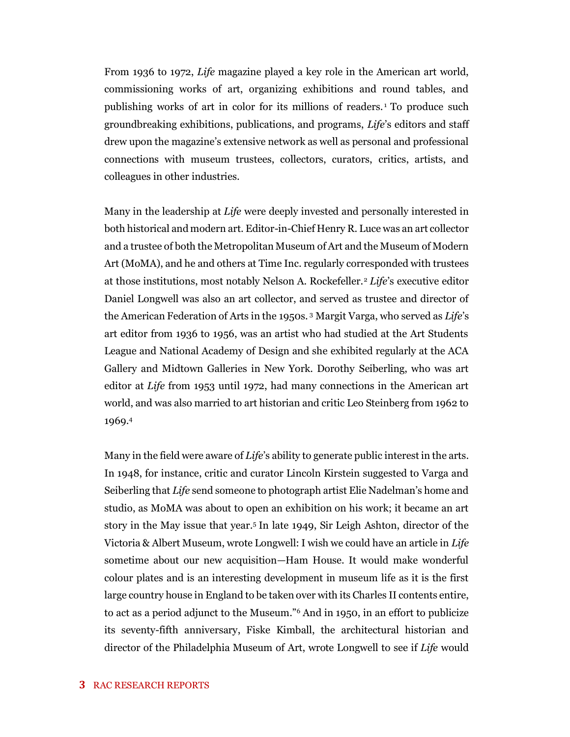From 1936 to 1972, *Life* magazine played a key role in the American art world, commissioning works of art, organizing exhibitions and round tables, and publishing works of art in color for its millions of readers.<sup>1</sup> To produce such groundbreaking exhibitions, publications, and programs, *Life*'s editors and staff drew upon the magazine's extensive network as well as personal and professional connections with museum trustees, collectors, curators, critics, artists, and colleagues in other industries.

Many in the leadership at *Life* were deeply invested and personally interested in both historical and modern art. Editor-in-Chief Henry R. Luce was an art collector and a trustee of both the Metropolitan Museum of Art and the Museum of Modern Art (MoMA), and he and others at Time Inc. regularly corresponded with trustees at those institutions, most notably Nelson A. Rockefeller.<sup>2</sup> *Life*'s executive editor Daniel Longwell was also an art collector, and served as trustee and director of the American Federation of Arts in the 1950s. <sup>3</sup> Margit Varga, who served as *Life*'s art editor from 1936 to 1956, was an artist who had studied at the Art Students League and National Academy of Design and she exhibited regularly at the ACA Gallery and Midtown Galleries in New York. Dorothy Seiberling, who was art editor at *Life* from 1953 until 1972, had many connections in the American art world, and was also married to art historian and critic Leo Steinberg from 1962 to 1969.<sup>4</sup>

Many in the field were aware of *Life*'s ability to generate public interest in the arts. In 1948, for instance, critic and curator Lincoln Kirstein suggested to Varga and Seiberling that *Life* send someone to photograph artist Elie Nadelman's home and studio, as MoMA was about to open an exhibition on his work; it became an art story in the May issue that year.<sup>5</sup> In late 1949, Sir Leigh Ashton, director of the Victoria & Albert Museum, wrote Longwell: I wish we could have an article in *Life* sometime about our new acquisition—Ham House. It would make wonderful colour plates and is an interesting development in museum life as it is the first large country house in England to be taken over with its Charles II contents entire, to act as a period adjunct to the Museum."<sup>6</sup> And in 1950, in an effort to publicize its seventy-fifth anniversary, Fiske Kimball, the architectural historian and director of the Philadelphia Museum of Art, wrote Longwell to see if *Life* would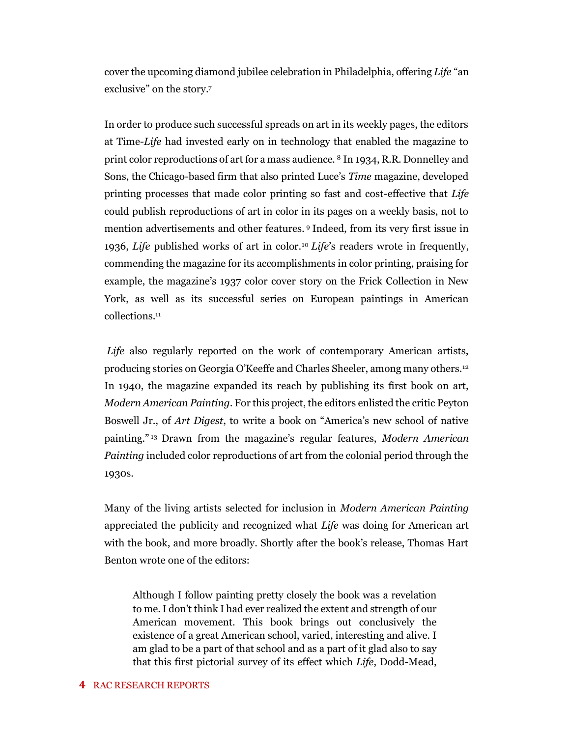cover the upcoming diamond jubilee celebration in Philadelphia, offering *Life* "an exclusive" on the story.<sup>7</sup>

In order to produce such successful spreads on art in its weekly pages, the editors at Time-*Life* had invested early on in technology that enabled the magazine to print color reproductions of art for a mass audience. <sup>8</sup> In 1934, R.R. Donnelley and Sons, the Chicago-based firm that also printed Luce's *Time* magazine, developed printing processes that made color printing so fast and cost-effective that *Life* could publish reproductions of art in color in its pages on a weekly basis, not to mention advertisements and other features. <sup>9</sup> Indeed, from its very first issue in 1936, *Life* published works of art in color.<sup>10</sup> *Life*'s readers wrote in frequently, commending the magazine for its accomplishments in color printing, praising for example, the magazine's 1937 color cover story on the Frick Collection in New York, as well as its successful series on European paintings in American collections.<sup>11</sup>

*Life* also regularly reported on the work of contemporary American artists, producing stories on Georgia O'Keeffe and Charles Sheeler, among many others.<sup>12</sup> In 1940, the magazine expanded its reach by publishing its first book on art, *Modern American Painting*. For this project, the editors enlisted the critic Peyton Boswell Jr., of *Art Digest*, to write a book on "America's new school of native painting." <sup>13</sup> Drawn from the magazine's regular features, *Modern American Painting* included color reproductions of art from the colonial period through the 1930s.

Many of the living artists selected for inclusion in *Modern American Painting* appreciated the publicity and recognized what *Life* was doing for American art with the book, and more broadly. Shortly after the book's release, Thomas Hart Benton wrote one of the editors:

Although I follow painting pretty closely the book was a revelation to me. I don't think I had ever realized the extent and strength of our American movement. This book brings out conclusively the existence of a great American school, varied, interesting and alive. I am glad to be a part of that school and as a part of it glad also to say that this first pictorial survey of its effect which *Life*, Dodd-Mead,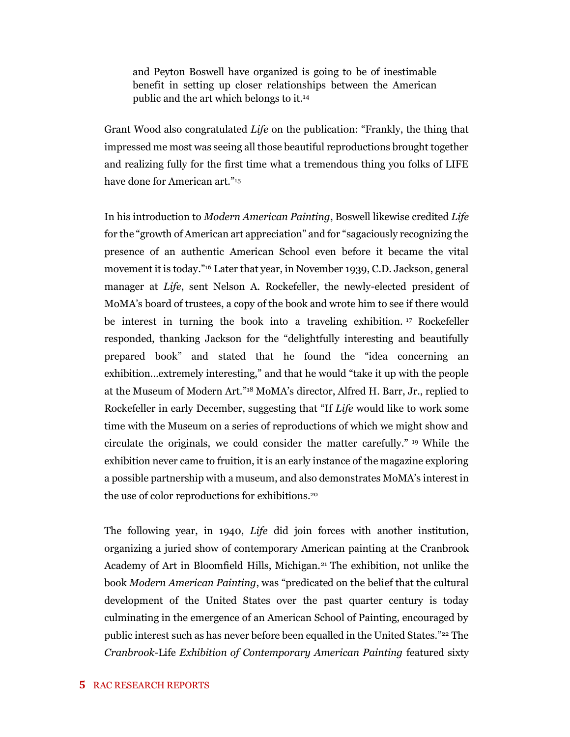and Peyton Boswell have organized is going to be of inestimable benefit in setting up closer relationships between the American public and the art which belongs to it.<sup>14</sup>

Grant Wood also congratulated *Life* on the publication: "Frankly, the thing that impressed me most was seeing all those beautiful reproductions brought together and realizing fully for the first time what a tremendous thing you folks of LIFE have done for American art."<sup>15</sup>

In his introduction to *Modern American Painting*, Boswell likewise credited *Life* for the "growth of American art appreciation" and for "sagaciously recognizing the presence of an authentic American School even before it became the vital movement it is today."<sup>16</sup> Later that year, in November 1939, C.D. Jackson, general manager at *Life*, sent Nelson A. Rockefeller, the newly-elected president of MoMA's board of trustees, a copy of the book and wrote him to see if there would be interest in turning the book into a traveling exhibition. <sup>17</sup> Rockefeller responded, thanking Jackson for the "delightfully interesting and beautifully prepared book" and stated that he found the "idea concerning an exhibition…extremely interesting," and that he would "take it up with the people at the Museum of Modern Art."<sup>18</sup> MoMA's director, Alfred H. Barr, Jr., replied to Rockefeller in early December, suggesting that "If *Life* would like to work some time with the Museum on a series of reproductions of which we might show and circulate the originals, we could consider the matter carefully." <sup>19</sup> While the exhibition never came to fruition, it is an early instance of the magazine exploring a possible partnership with a museum, and also demonstrates MoMA's interest in the use of color reproductions for exhibitions.<sup>20</sup>

The following year, in 1940, *Life* did join forces with another institution, organizing a juried show of contemporary American painting at the Cranbrook Academy of Art in Bloomfield Hills, Michigan.<sup>21</sup> The exhibition, not unlike the book *Modern American Painting*, was "predicated on the belief that the cultural development of the United States over the past quarter century is today culminating in the emergence of an American School of Painting, encouraged by public interest such as has never before been equalled in the United States."<sup>22</sup> The *Cranbrook-*Life *Exhibition of Contemporary American Painting* featured sixty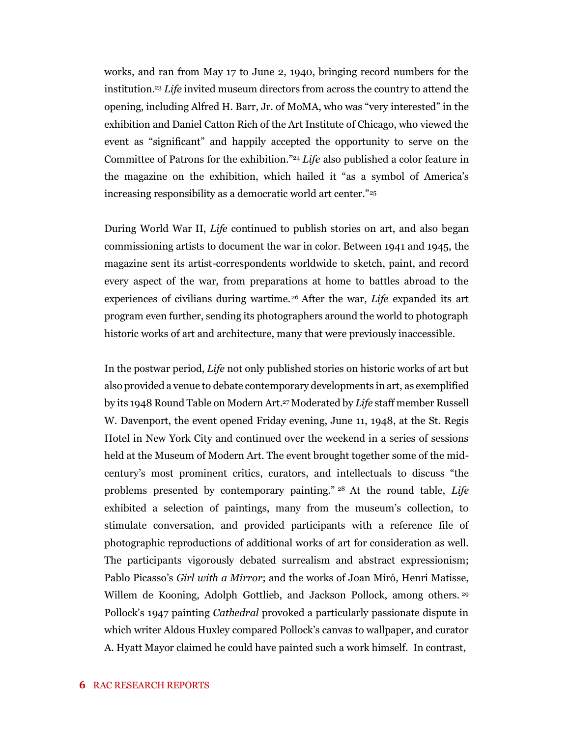works, and ran from May 17 to June 2, 1940, bringing record numbers for the institution.<sup>23</sup> *Life* invited museum directors from across the country to attend the opening, including Alfred H. Barr, Jr. of MoMA, who was "very interested" in the exhibition and Daniel Catton Rich of the Art Institute of Chicago, who viewed the event as "significant" and happily accepted the opportunity to serve on the Committee of Patrons for the exhibition." <sup>24</sup> *Life* also published a color feature in the magazine on the exhibition, which hailed it "as a symbol of America's increasing responsibility as a democratic world art center."<sup>25</sup>

During World War II, *Life* continued to publish stories on art, and also began commissioning artists to document the war in color. Between 1941 and 1945, the magazine sent its artist-correspondents worldwide to sketch, paint, and record every aspect of the war, from preparations at home to battles abroad to the experiences of civilians during wartime.<sup>26</sup> After the war, *Life* expanded its art program even further, sending its photographers around the world to photograph historic works of art and architecture, many that were previously inaccessible.

In the postwar period, *Life* not only published stories on historic works of art but also provided a venue to debate contemporary developments in art, as exemplified by its 1948 Round Table on Modern Art. <sup>27</sup> Moderated by *Life* staff member Russell W. Davenport, the event opened Friday evening, June 11, 1948, at the St. Regis Hotel in New York City and continued over the weekend in a series of sessions held at the Museum of Modern Art. The event brought together some of the midcentury's most prominent critics, curators, and intellectuals to discuss "the problems presented by contemporary painting." <sup>28</sup> At the round table, *Life* exhibited a selection of paintings, many from the museum's collection, to stimulate conversation, and provided participants with a reference file of photographic reproductions of additional works of art for consideration as well. The participants vigorously debated surrealism and abstract expressionism; Pablo Picasso's *Girl with a Mirror*; and the works of Joan Miró, Henri Matisse, Willem de Kooning, Adolph Gottlieb, and Jackson Pollock, among others. <sup>29</sup> Pollock's 1947 painting *Cathedral* provoked a particularly passionate dispute in which writer Aldous Huxley compared Pollock's canvas to wallpaper, and curator A. Hyatt Mayor claimed he could have painted such a work himself. In contrast,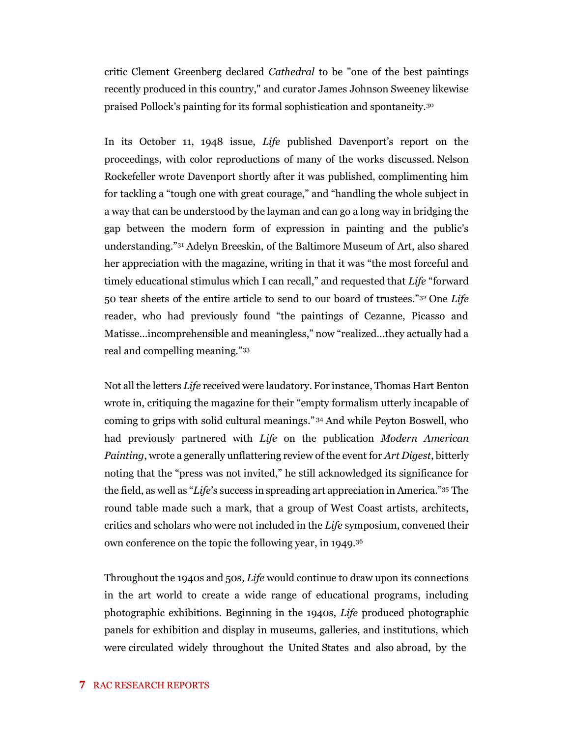critic Clement Greenberg declared *Cathedral* to be "one of the best paintings recently produced in this country," and curator James Johnson Sweeney likewise praised Pollock's painting for its formal sophistication and spontaneity.<sup>30</sup>

In its October 11, 1948 issue, *Life* published Davenport's report on the proceedings, with color reproductions of many of the works discussed. Nelson Rockefeller wrote Davenport shortly after it was published, complimenting him for tackling a "tough one with great courage," and "handling the whole subject in a way that can be understood by the layman and can go a long way in bridging the gap between the modern form of expression in painting and the public's understanding."<sup>31</sup> Adelyn Breeskin, of the Baltimore Museum of Art, also shared her appreciation with the magazine, writing in that it was "the most forceful and timely educational stimulus which I can recall," and requested that *Life* "forward 50 tear sheets of the entire article to send to our board of trustees."<sup>32</sup> One *Life* reader, who had previously found "the paintings of Cezanne, Picasso and Matisse…incomprehensible and meaningless," now "realized…they actually had a real and compelling meaning."<sup>33</sup>

Not all the letters *Life* received were laudatory. For instance, Thomas Hart Benton wrote in, critiquing the magazine for their "empty formalism utterly incapable of coming to grips with solid cultural meanings." <sup>34</sup> And while Peyton Boswell, who had previously partnered with *Life* on the publication *Modern American Painting*, wrote a generally unflattering review of the event for *Art Digest*, bitterly noting that the "press was not invited," he still acknowledged its significance for the field, as well as "*Life*'s success in spreading art appreciation in America."<sup>35</sup> The round table made such a mark, that a group of West Coast artists, architects, critics and scholars who were not included in the *Life* symposium, convened their own conference on the topic the following year, in 1949.<sup>36</sup>

Throughout the 1940s and 50s*, Life* would continue to draw upon its connections in the art world to create a wide range of educational programs, including photographic exhibitions. Beginning in the 1940s, *Life* produced photographic panels for exhibition and display in museums, galleries, and institutions, which were circulated widely throughout the United States and also abroad, by the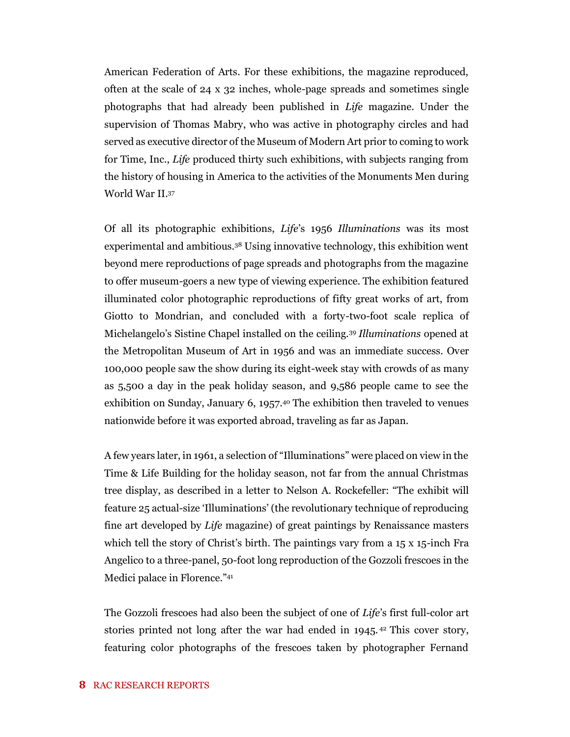American Federation of Arts. For these exhibitions, the magazine reproduced, often at the scale of 24 x 32 inches, whole-page spreads and sometimes single photographs that had already been published in *Life* magazine*.* Under the supervision of Thomas Mabry, who was active in photography circles and had served as executive director of the Museum of Modern Art prior to coming to work for Time, Inc., *Life* produced thirty such exhibitions, with subjects ranging from the history of housing in America to the activities of the Monuments Men during World War II.<sup>37</sup>

Of all its photographic exhibitions, *Life*'s 1956 *Illuminations* was its most experimental and ambitious.<sup>38</sup> Using innovative technology, this exhibition went beyond mere reproductions of page spreads and photographs from the magazine to offer museum-goers a new type of viewing experience. The exhibition featured illuminated color photographic reproductions of fifty great works of art, from Giotto to Mondrian, and concluded with a forty-two-foot scale replica of Michelangelo's Sistine Chapel installed on the ceiling.<sup>39</sup> *Illuminations* opened at the Metropolitan Museum of Art in 1956 and was an immediate success. Over 100,000 people saw the show during its eight-week stay with crowds of as many as 5,500 a day in the peak holiday season, and 9,586 people came to see the exhibition on Sunday, January 6, 1957.<sup>40</sup> The exhibition then traveled to venues nationwide before it was exported abroad, traveling as far as Japan.

A few years later, in 1961, a selection of "Illuminations" were placed on view in the Time & Life Building for the holiday season, not far from the annual Christmas tree display, as described in a letter to Nelson A. Rockefeller: "The exhibit will feature 25 actual-size 'Illuminations' (the revolutionary technique of reproducing fine art developed by *Life* magazine) of great paintings by Renaissance masters which tell the story of Christ's birth. The paintings vary from a 15 x 15-inch Fra Angelico to a three-panel, 50-foot long reproduction of the Gozzoli frescoes in the Medici palace in Florence."<sup>41</sup>

The Gozzoli frescoes had also been the subject of one of *Life*'s first full-color art stories printed not long after the war had ended in 1945. <sup>42</sup> This cover story, featuring color photographs of the frescoes taken by photographer Fernand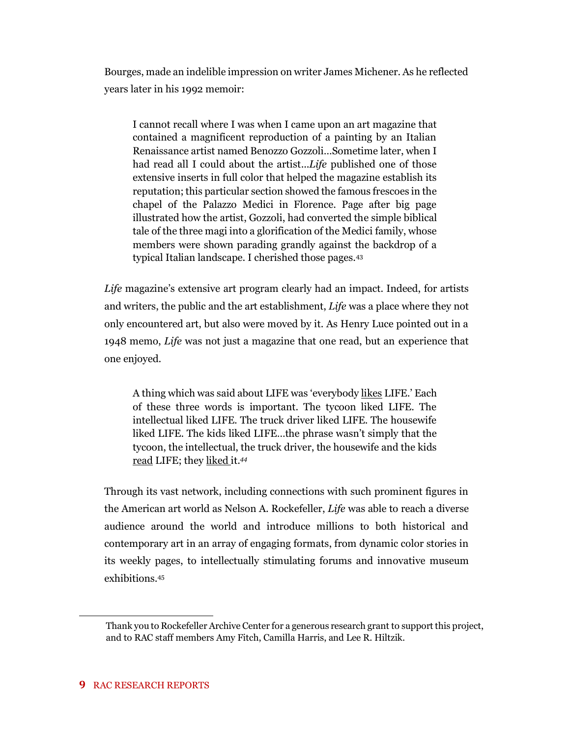Bourges, made an indelible impression on writer James Michener. As he reflected years later in his 1992 memoir:

I cannot recall where I was when I came upon an art magazine that contained a magnificent reproduction of a painting by an Italian Renaissance artist named Benozzo Gozzoli…Sometime later, when I had read all I could about the artist...*Life* published one of those extensive inserts in full color that helped the magazine establish its reputation; this particular section showed the famous frescoes in the chapel of the Palazzo Medici in Florence. Page after big page illustrated how the artist, Gozzoli, had converted the simple biblical tale of the three magi into a glorification of the Medici family, whose members were shown parading grandly against the backdrop of a typical Italian landscape. I cherished those pages.<sup>43</sup>

*Life* magazine's extensive art program clearly had an impact. Indeed, for artists and writers, the public and the art establishment, *Life* was a place where they not only encountered art, but also were moved by it. As Henry Luce pointed out in a 1948 memo, *Life* was not just a magazine that one read, but an experience that one enjoyed.

A thing which was said about LIFE was 'everybody likes LIFE.' Each of these three words is important. The tycoon liked LIFE. The intellectual liked LIFE. The truck driver liked LIFE. The housewife liked LIFE. The kids liked LIFE…the phrase wasn't simply that the tycoon, the intellectual, the truck driver, the housewife and the kids read LIFE; they liked it.*<sup>44</sup>*

Through its vast network, including connections with such prominent figures in the American art world as Nelson A. Rockefeller, *Life* was able to reach a diverse audience around the world and introduce millions to both historical and contemporary art in an array of engaging formats, from dynamic color stories in its weekly pages, to intellectually stimulating forums and innovative museum exhibitions.<sup>45</sup>

Thank you to Rockefeller Archive Center for a generous research grant to support this project, and to RAC staff members Amy Fitch, Camilla Harris, and Lee R. Hiltzik.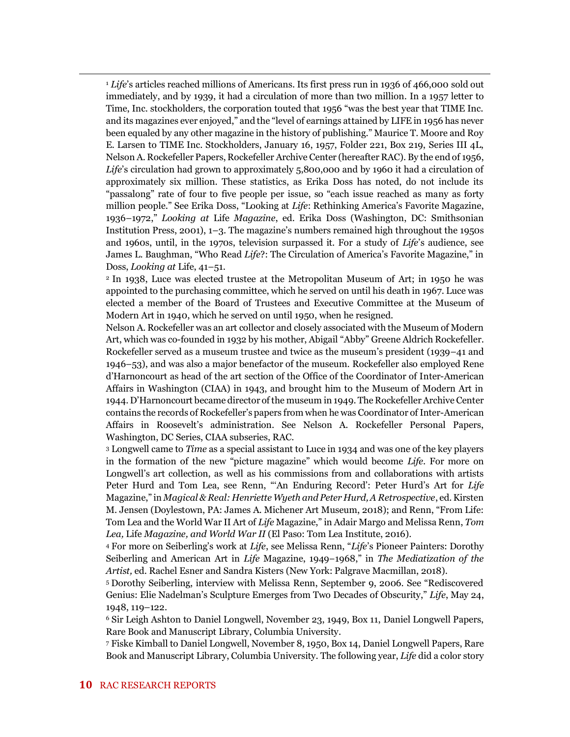<sup>1</sup> *Life*'s articles reached millions of Americans. Its first press run in 1936 of 466,000 sold out immediately, and by 1939, it had a circulation of more than two million. In a 1957 letter to Time, Inc. stockholders, the corporation touted that 1956 "was the best year that TIME Inc. and its magazines ever enjoyed," and the "level of earnings attained by LIFE in 1956 has never been equaled by any other magazine in the history of publishing." Maurice T. Moore and Roy E. Larsen to TIME Inc. Stockholders, January 16, 1957, Folder 221, Box 219, Series III 4L, Nelson A. Rockefeller Papers, Rockefeller Archive Center (hereafter RAC). By the end of 1956, *Life*'s circulation had grown to approximately 5,800,000 and by 1960 it had a circulation of approximately six million. These statistics, as Erika Doss has noted, do not include its "passalong" rate of four to five people per issue, so "each issue reached as many as forty million people." See Erika Doss, "Looking at *Life*: Rethinking America's Favorite Magazine, 1936–1972," *Looking at* Life *Magazine*, ed. Erika Doss (Washington, DC: Smithsonian Institution Press, 2001), 1–3. The magazine's numbers remained high throughout the 1950s and 1960s, until, in the 1970s, television surpassed it. For a study of *Life*'s audience, see James L. Baughman, "Who Read *Life*?: The Circulation of America's Favorite Magazine," in Doss, *Looking at* Life, 41–51.

<sup>2</sup> In 1938, Luce was elected trustee at the Metropolitan Museum of Art; in 1950 he was appointed to the purchasing committee, which he served on until his death in 1967. Luce was elected a member of the Board of Trustees and Executive Committee at the Museum of Modern Art in 1940, which he served on until 1950, when he resigned.

Nelson A. Rockefeller was an art collector and closely associated with the Museum of Modern Art, which was co-founded in 1932 by his mother, Abigail "Abby" Greene Aldrich Rockefeller. Rockefeller served as a museum trustee and twice as the museum's president (1939–41 and 1946–53), and was also a major benefactor of the museum. Rockefeller also employed Rene d'Harnoncourt as head of the art section of the Office of the Coordinator of Inter-American Affairs in Washington (CIAA) in 1943, and brought him to the Museum of Modern Art in 1944. D'Harnoncourt became director of the museum in 1949. The Rockefeller Archive Center contains the records of Rockefeller's papers from when he was Coordinator of Inter-American Affairs in Roosevelt's administration. See Nelson A. Rockefeller Personal Papers, Washington, DC Series, CIAA subseries, RAC.

<sup>3</sup> Longwell came to *Time* as a special assistant to Luce in 1934 and was one of the key players in the formation of the new "picture magazine" which would become *Life*. For more on Longwell's art collection, as well as his commissions from and collaborations with artists Peter Hurd and Tom Lea, see Renn, "'An Enduring Record': Peter Hurd's Art for *Life* Magazine," in *Magical & Real: Henriette Wyeth and Peter Hurd, A Retrospective*, ed.Kirsten M. Jensen (Doylestown, PA: James A. Michener Art Museum, 2018); and Renn, "From Life: Tom Lea and the World War II Art of *Life* Magazine," in Adair Margo and Melissa Renn, *Tom Lea,* Life *Magazine, and World War II* (El Paso: Tom Lea Institute, 2016).

<sup>4</sup> For more on Seiberling's work at *Life*, see Melissa Renn, "*Life*'s Pioneer Painters: Dorothy Seiberling and American Art in *Life* Magazine, 1949−1968," in *The Mediatization of the Artist,* ed. Rachel Esner and Sandra Kisters (New York: Palgrave Macmillan, 2018).

<sup>5</sup> Dorothy Seiberling, interview with Melissa Renn, September 9, 2006. See "Rediscovered Genius: Elie Nadelman's Sculpture Emerges from Two Decades of Obscurity," *Life*, May 24, 1948, 119–122.

<sup>6</sup> Sir Leigh Ashton to Daniel Longwell, November 23, 1949, Box 11, Daniel Longwell Papers, Rare Book and Manuscript Library, Columbia University.

<sup>7</sup> Fiske Kimball to Daniel Longwell, November 8, 1950, Box 14, Daniel Longwell Papers, Rare Book and Manuscript Library, Columbia University. The following year, *Life* did a color story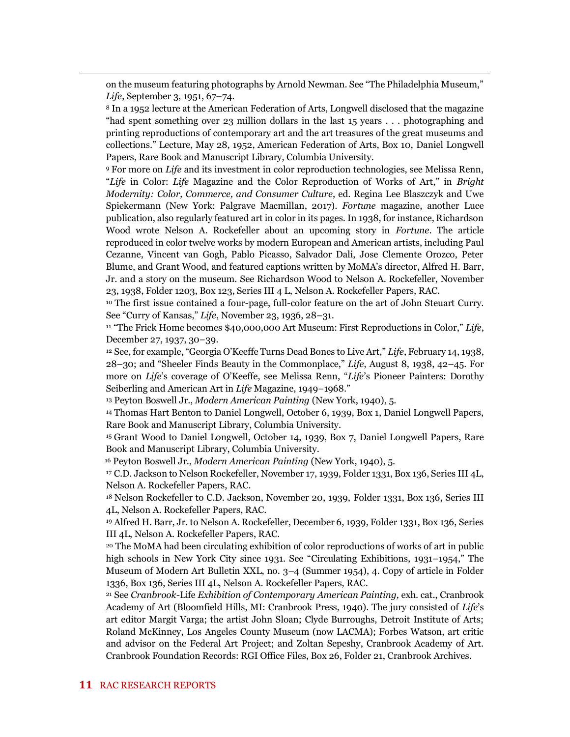on the museum featuring photographs by Arnold Newman. See "The Philadelphia Museum," *Life*, September 3, 1951, 67–74.

<sup>8</sup> In a 1952 lecture at the American Federation of Arts, Longwell disclosed that the magazine "had spent something over 23 million dollars in the last 15 years . . . photographing and printing reproductions of contemporary art and the art treasures of the great museums and collections." Lecture, May 28, 1952, American Federation of Arts, Box 10, Daniel Longwell Papers, Rare Book and Manuscript Library, Columbia University.

<sup>9</sup> For more on *Life* and its investment in color reproduction technologies, see Melissa Renn, "*Life* in Color: *Life* Magazine and the Color Reproduction of Works of Art," in *Bright Modernity: Color, Commerce, and Consumer Culture*, ed. Regina Lee Blaszczyk and Uwe Spiekermann (New York: Palgrave Macmillan, 2017). *Fortune* magazine, another Luce publication, also regularly featured art in color in its pages. In 1938, for instance, Richardson Wood wrote Nelson A. Rockefeller about an upcoming story in *Fortune*. The article reproduced in color twelve works by modern European and American artists, including Paul Cezanne, Vincent van Gogh, Pablo Picasso, Salvador Dali, Jose Clemente Orozco, Peter Blume, and Grant Wood, and featured captions written by MoMA's director, Alfred H. Barr, Jr. and a story on the museum. See Richardson Wood to Nelson A. Rockefeller, November 23, 1938, Folder 1203, Box 123, Series III 4 L, Nelson A. Rockefeller Papers, RAC.

<sup>10</sup> The first issue contained a four-page, full-color feature on the art of John Steuart Curry. See "Curry of Kansas," *Life*, November 23, 1936, 28–31.

<sup>11</sup> "The Frick Home becomes \$40,000,000 Art Museum: First Reproductions in Color," *Life*, December 27, 1937, 30−39.

<sup>12</sup> See, for example, "Georgia O'Keeffe Turns Dead Bones to Live Art," *Life*, February 14, 1938, 28–30; and "Sheeler Finds Beauty in the Commonplace," *Life*, August 8, 1938, 42–45. For more on *Life*'s coverage of O'Keeffe, see Melissa Renn, "*Life*'s Pioneer Painters: Dorothy Seiberling and American Art in *Life* Magazine, 1949−1968."

<sup>13</sup> Peyton Boswell Jr., *Modern American Painting* (New York, 1940), 5.

<sup>14</sup> Thomas Hart Benton to Daniel Longwell, October 6, 1939, Box 1, Daniel Longwell Papers, Rare Book and Manuscript Library, Columbia University.

<sup>15</sup> Grant Wood to Daniel Longwell, October 14, 1939, Box 7, Daniel Longwell Papers, Rare Book and Manuscript Library, Columbia University.

<sup>16</sup> Peyton Boswell Jr., *Modern American Painting* (New York, 1940), 5.

<sup>17</sup> C.D. Jackson to Nelson Rockefeller, November 17, 1939, Folder 1331, Box 136, Series III 4L, Nelson A. Rockefeller Papers, RAC.

<sup>18</sup> Nelson Rockefeller to C.D. Jackson, November 20, 1939, Folder 1331, Box 136, Series III 4L, Nelson A. Rockefeller Papers, RAC.

<sup>19</sup> Alfred H. Barr, Jr. to Nelson A. Rockefeller, December 6, 1939, Folder 1331, Box 136, Series III 4L, Nelson A. Rockefeller Papers, RAC.

<sup>20</sup> The MoMA had been circulating exhibition of color reproductions of works of art in public high schools in New York City since 1931. See "Circulating Exhibitions, 1931–1954," The Museum of Modern Art Bulletin XXL, no. 3–4 (Summer 1954), 4. Copy of article in Folder 1336, Box 136, Series III 4L, Nelson A. Rockefeller Papers, RAC.

<sup>21</sup> See *Cranbrook-*Life *Exhibition of Contemporary American Painting,* exh. cat., Cranbrook Academy of Art (Bloomfield Hills, MI: Cranbrook Press, 1940). The jury consisted of *Life*'s art editor Margit Varga; the artist John Sloan; Clyde Burroughs, Detroit Institute of Arts; Roland McKinney, Los Angeles County Museum (now LACMA); Forbes Watson, art critic and advisor on the Federal Art Project; and Zoltan Sepeshy, Cranbrook Academy of Art. Cranbrook Foundation Records: RGI Office Files, Box 26, Folder 21, Cranbrook Archives.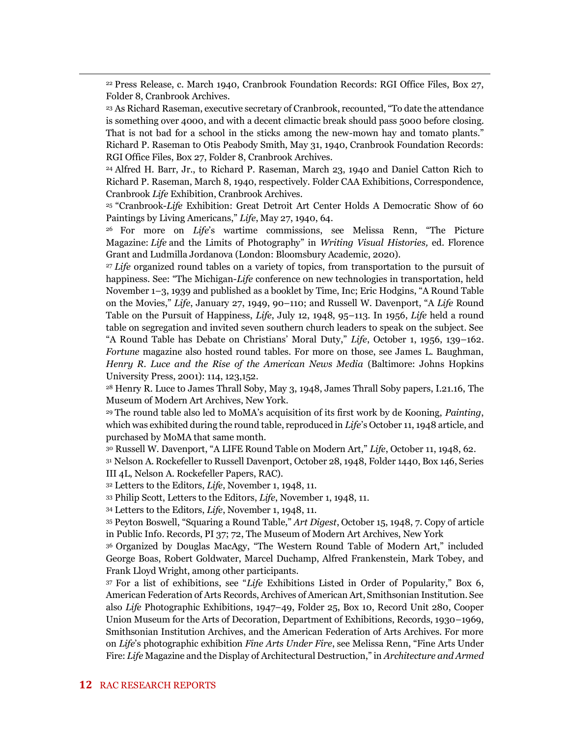<sup>22</sup> Press Release, c. March 1940, Cranbrook Foundation Records: RGI Office Files, Box 27, Folder 8, Cranbrook Archives.

<sup>24</sup> Alfred H. Barr, Jr., to Richard P. Raseman, March 23, 1940 and Daniel Catton Rich to Richard P. Raseman, March 8, 1940, respectively. Folder CAA Exhibitions, Correspondence, Cranbrook *Life* Exhibition, Cranbrook Archives.

<sup>25</sup> "Cranbrook-*Life* Exhibition: Great Detroit Art Center Holds A Democratic Show of 60 Paintings by Living Americans," *Life*, May 27, 1940, 64.

<sup>26</sup> For more on *Life*'s wartime commissions, see Melissa Renn, "The Picture Magazine: *Life* and the Limits of Photography" in *Writing Visual Histories,* ed. Florence Grant and Ludmilla Jordanova (London: Bloomsbury Academic, 2020).

<sup>27</sup> *Life* organized round tables on a variety of topics, from transportation to the pursuit of happiness. See: "The Michigan-*Life* conference on new technologies in transportation, held November 1–3, 1939 and published as a booklet by Time, Inc; Eric Hodgins, "A Round Table on the Movies," *Life*, January 27, 1949, 90–110; and Russell W. Davenport, "A *Life* Round Table on the Pursuit of Happiness, *Life*, July 12, 1948, 95–113. In 1956, *Life* held a round table on segregation and invited seven southern church leaders to speak on the subject. See "A Round Table has Debate on Christians' Moral Duty," *Life*, October 1, 1956, 139–162. *Fortune* magazine also hosted round tables. For more on those, see James L. Baughman, *Henry R. Luce and the Rise of the American News Media* (Baltimore: Johns Hopkins University Press, 2001): 114, 123,152.

<sup>28</sup> Henry R. Luce to James Thrall Soby, May 3, 1948, James Thrall Soby papers, I.21.16, The Museum of Modern Art Archives, New York.

<sup>29</sup> The round table also led to MoMA's acquisition of its first work by de Kooning, *Painting*, which was exhibited during the round table, reproduced in *Life*'s October 11, 1948 article, and purchased by MoMA that same month.

<sup>30</sup> Russell W. Davenport, "A LIFE Round Table on Modern Art," *Life*, October 11, 1948, 62.

<sup>31</sup> Nelson A. Rockefeller to Russell Davenport, October 28, 1948, Folder 1440, Box 146, Series III 4L, Nelson A. Rockefeller Papers, RAC).

<sup>32</sup> Letters to the Editors, *Life*, November 1, 1948, 11.

<sup>33</sup> Philip Scott, Letters to the Editors, *Life*, November 1, 1948, 11.

<sup>34</sup> Letters to the Editors, *Life*, November 1, 1948, 11.

<sup>35</sup> Peyton Boswell, "Squaring a Round Table," *Art Digest*, October 15, 1948, 7. Copy of article in Public Info. Records, PI 37; 72, The Museum of Modern Art Archives, New York

<sup>36</sup> Organized by Douglas MacAgy, "The Western Round Table of Modern Art," included George Boas, Robert Goldwater, Marcel Duchamp, Alfred Frankenstein, Mark Tobey, and Frank Lloyd Wright, among other participants.

<sup>37</sup> For a list of exhibitions, see "*Life* Exhibitions Listed in Order of Popularity," Box 6, American Federation of Arts Records, Archives of American Art, Smithsonian Institution. See also *Life* Photographic Exhibitions, 1947–49, Folder 25, Box 10, Record Unit 280, Cooper Union Museum for the Arts of Decoration, Department of Exhibitions, Records, 1930–1969, Smithsonian Institution Archives, and the American Federation of Arts Archives. For more on *Life*'s photographic exhibition *Fine Arts Under Fire*, see Melissa Renn, "Fine Arts Under Fire: *Life* Magazine and the Display of Architectural Destruction," in *Architecture and Armed* 

<sup>23</sup> As Richard Raseman, executive secretary of Cranbrook, recounted, "To date the attendance is something over 4000, and with a decent climactic break should pass 5000 before closing. That is not bad for a school in the sticks among the new-mown hay and tomato plants." Richard P. Raseman to Otis Peabody Smith, May 31, 1940, Cranbrook Foundation Records: RGI Office Files, Box 27, Folder 8, Cranbrook Archives.